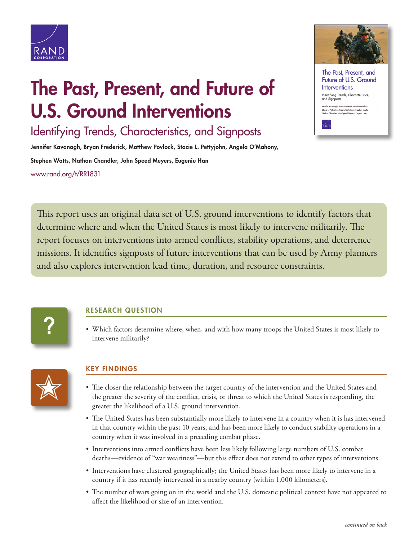

## **The Past, Present, and Future of U.S. Ground Interventions**

Identifying Trends, Characteristics, and Signposts

**Jennifer Kavanagh, Bryan Frederick, Matthew Povlock, Stacie L. Pettyjohn, Angela O'Mahony,** 

**Stephen Watts, Nathan Chandler, John Speed Meyers, Eugeniu Han** [www.rand.org/t/RR1831](http://www.rand.org/t/RR1831)





This report uses an original data set of U.S. ground interventions to identify factors that determine where and when the United States is most likely to intervene militarily. The report focuses on interventions into armed conflicts, stability operations, and deterrence missions. It identifies signposts of future interventions that can be used by Army planners and also explores intervention lead time, duration, and resource constraints.



## **RESEARCH QUESTION**

• Which factors determine where, when, and with how many troops the United States is most likely to intervene militarily?



## **KEY FINDINGS**

- The closer the relationship between the target country of the intervention and the United States and the greater the severity of the conflict, crisis, or threat to which the United States is responding, the greater the likelihood of a U.S. ground intervention.
- The United States has been substantially more likely to intervene in a country when it is has intervened in that country within the past 10 years, and has been more likely to conduct stability operations in a country when it was involved in a preceding combat phase.
- Interventions into armed conflicts have been less likely following large numbers of U.S. combat deaths—evidence of "war weariness"—but this effect does not extend to other types of interventions.
- Interventions have clustered geographically; the United States has been more likely to intervene in a country if it has recently intervened in a nearby country (within 1,000 kilometers).
- The number of wars going on in the world and the U.S. domestic political context have not appeared to affect the likelihood or size of an intervention.